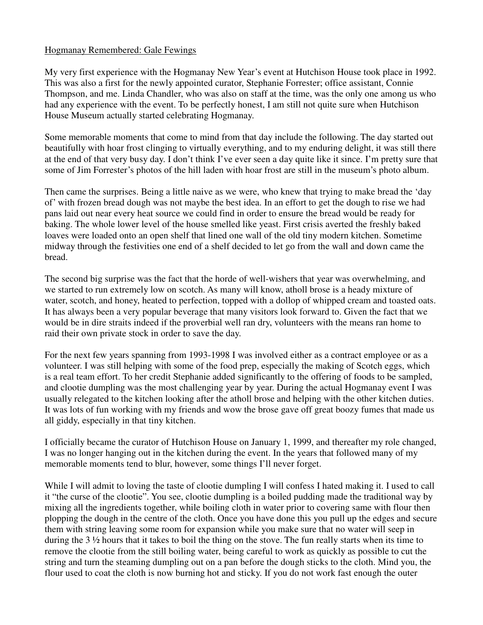## Hogmanay Remembered: Gale Fewings

My very first experience with the Hogmanay New Year's event at Hutchison House took place in 1992. This was also a first for the newly appointed curator, Stephanie Forrester; office assistant, Connie Thompson, and me. Linda Chandler, who was also on staff at the time, was the only one among us who had any experience with the event. To be perfectly honest, I am still not quite sure when Hutchison House Museum actually started celebrating Hogmanay.

Some memorable moments that come to mind from that day include the following. The day started out beautifully with hoar frost clinging to virtually everything, and to my enduring delight, it was still there at the end of that very busy day. I don't think I've ever seen a day quite like it since. I'm pretty sure that some of Jim Forrester's photos of the hill laden with hoar frost are still in the museum's photo album.

Then came the surprises. Being a little naive as we were, who knew that trying to make bread the 'day of' with frozen bread dough was not maybe the best idea. In an effort to get the dough to rise we had pans laid out near every heat source we could find in order to ensure the bread would be ready for baking. The whole lower level of the house smelled like yeast. First crisis averted the freshly baked loaves were loaded onto an open shelf that lined one wall of the old tiny modern kitchen. Sometime midway through the festivities one end of a shelf decided to let go from the wall and down came the bread.

The second big surprise was the fact that the horde of well-wishers that year was overwhelming, and we started to run extremely low on scotch. As many will know, atholl brose is a heady mixture of water, scotch, and honey, heated to perfection, topped with a dollop of whipped cream and toasted oats. It has always been a very popular beverage that many visitors look forward to. Given the fact that we would be in dire straits indeed if the proverbial well ran dry, volunteers with the means ran home to raid their own private stock in order to save the day.

For the next few years spanning from 1993-1998 I was involved either as a contract employee or as a volunteer. I was still helping with some of the food prep, especially the making of Scotch eggs, which is a real team effort. To her credit Stephanie added significantly to the offering of foods to be sampled, and clootie dumpling was the most challenging year by year. During the actual Hogmanay event I was usually relegated to the kitchen looking after the atholl brose and helping with the other kitchen duties. It was lots of fun working with my friends and wow the brose gave off great boozy fumes that made us all giddy, especially in that tiny kitchen.

I officially became the curator of Hutchison House on January 1, 1999, and thereafter my role changed, I was no longer hanging out in the kitchen during the event. In the years that followed many of my memorable moments tend to blur, however, some things I'll never forget.

While I will admit to loving the taste of clootie dumpling I will confess I hated making it. I used to call it "the curse of the clootie". You see, clootie dumpling is a boiled pudding made the traditional way by mixing all the ingredients together, while boiling cloth in water prior to covering same with flour then plopping the dough in the centre of the cloth. Once you have done this you pull up the edges and secure them with string leaving some room for expansion while you make sure that no water will seep in during the 3 ½ hours that it takes to boil the thing on the stove. The fun really starts when its time to remove the clootie from the still boiling water, being careful to work as quickly as possible to cut the string and turn the steaming dumpling out on a pan before the dough sticks to the cloth. Mind you, the flour used to coat the cloth is now burning hot and sticky. If you do not work fast enough the outer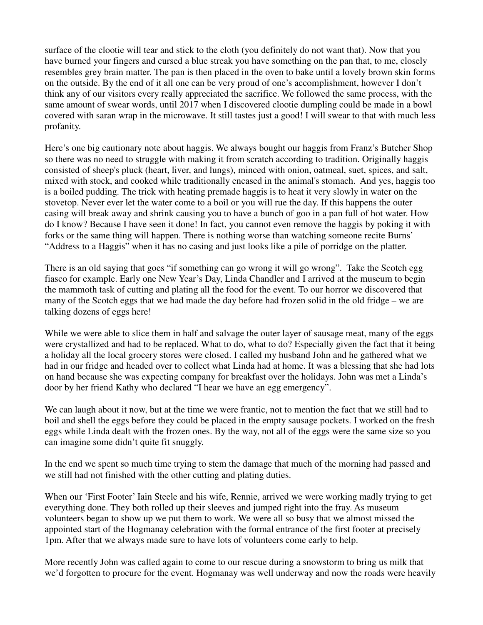surface of the clootie will tear and stick to the cloth (you definitely do not want that). Now that you have burned your fingers and cursed a blue streak you have something on the pan that, to me, closely resembles grey brain matter. The pan is then placed in the oven to bake until a lovely brown skin forms on the outside. By the end of it all one can be very proud of one's accomplishment, however I don't think any of our visitors every really appreciated the sacrifice. We followed the same process, with the same amount of swear words, until 2017 when I discovered clootie dumpling could be made in a bowl covered with saran wrap in the microwave. It still tastes just a good! I will swear to that with much less profanity.

Here's one big cautionary note about haggis. We always bought our haggis from Franz's Butcher Shop so there was no need to struggle with making it from scratch according to tradition. Originally haggis consisted of sheep's pluck (heart, liver, and lungs), minced with onion, oatmeal, suet, spices, and salt, mixed with stock, and cooked while traditionally encased in the animal's stomach. And yes, haggis too is a boiled pudding. The trick with heating premade haggis is to heat it very slowly in water on the stovetop. Never ever let the water come to a boil or you will rue the day. If this happens the outer casing will break away and shrink causing you to have a bunch of goo in a pan full of hot water. How do I know? Because I have seen it done! In fact, you cannot even remove the haggis by poking it with forks or the same thing will happen. There is nothing worse than watching someone recite Burns' "Address to a Haggis" when it has no casing and just looks like a pile of porridge on the platter.

There is an old saying that goes "if something can go wrong it will go wrong". Take the Scotch egg fiasco for example. Early one New Year's Day, Linda Chandler and I arrived at the museum to begin the mammoth task of cutting and plating all the food for the event. To our horror we discovered that many of the Scotch eggs that we had made the day before had frozen solid in the old fridge – we are talking dozens of eggs here!

While we were able to slice them in half and salvage the outer layer of sausage meat, many of the eggs were crystallized and had to be replaced. What to do, what to do? Especially given the fact that it being a holiday all the local grocery stores were closed. I called my husband John and he gathered what we had in our fridge and headed over to collect what Linda had at home. It was a blessing that she had lots on hand because she was expecting company for breakfast over the holidays. John was met a Linda's door by her friend Kathy who declared "I hear we have an egg emergency".

We can laugh about it now, but at the time we were frantic, not to mention the fact that we still had to boil and shell the eggs before they could be placed in the empty sausage pockets. I worked on the fresh eggs while Linda dealt with the frozen ones. By the way, not all of the eggs were the same size so you can imagine some didn't quite fit snuggly.

In the end we spent so much time trying to stem the damage that much of the morning had passed and we still had not finished with the other cutting and plating duties.

When our 'First Footer' Iain Steele and his wife, Rennie, arrived we were working madly trying to get everything done. They both rolled up their sleeves and jumped right into the fray. As museum volunteers began to show up we put them to work. We were all so busy that we almost missed the appointed start of the Hogmanay celebration with the formal entrance of the first footer at precisely 1pm. After that we always made sure to have lots of volunteers come early to help.

More recently John was called again to come to our rescue during a snowstorm to bring us milk that we'd forgotten to procure for the event. Hogmanay was well underway and now the roads were heavily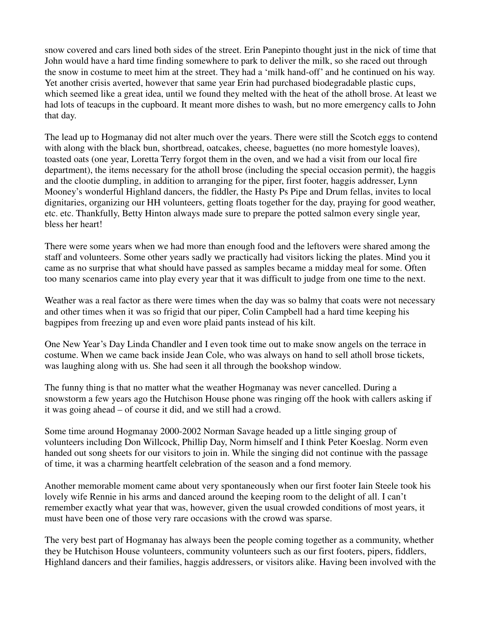snow covered and cars lined both sides of the street. Erin Panepinto thought just in the nick of time that John would have a hard time finding somewhere to park to deliver the milk, so she raced out through the snow in costume to meet him at the street. They had a 'milk hand-off' and he continued on his way. Yet another crisis averted, however that same year Erin had purchased biodegradable plastic cups, which seemed like a great idea, until we found they melted with the heat of the atholl brose. At least we had lots of teacups in the cupboard. It meant more dishes to wash, but no more emergency calls to John that day.

The lead up to Hogmanay did not alter much over the years. There were still the Scotch eggs to contend with along with the black bun, shortbread, oatcakes, cheese, baguettes (no more homestyle loaves), toasted oats (one year, Loretta Terry forgot them in the oven, and we had a visit from our local fire department), the items necessary for the atholl brose (including the special occasion permit), the haggis and the clootie dumpling, in addition to arranging for the piper, first footer, haggis addresser, Lynn Mooney's wonderful Highland dancers, the fiddler, the Hasty Ps Pipe and Drum fellas, invites to local dignitaries, organizing our HH volunteers, getting floats together for the day, praying for good weather, etc. etc. Thankfully, Betty Hinton always made sure to prepare the potted salmon every single year, bless her heart!

There were some years when we had more than enough food and the leftovers were shared among the staff and volunteers. Some other years sadly we practically had visitors licking the plates. Mind you it came as no surprise that what should have passed as samples became a midday meal for some. Often too many scenarios came into play every year that it was difficult to judge from one time to the next.

Weather was a real factor as there were times when the day was so balmy that coats were not necessary and other times when it was so frigid that our piper, Colin Campbell had a hard time keeping his bagpipes from freezing up and even wore plaid pants instead of his kilt.

One New Year's Day Linda Chandler and I even took time out to make snow angels on the terrace in costume. When we came back inside Jean Cole, who was always on hand to sell atholl brose tickets, was laughing along with us. She had seen it all through the bookshop window.

The funny thing is that no matter what the weather Hogmanay was never cancelled. During a snowstorm a few years ago the Hutchison House phone was ringing off the hook with callers asking if it was going ahead – of course it did, and we still had a crowd.

Some time around Hogmanay 2000-2002 Norman Savage headed up a little singing group of volunteers including Don Willcock, Phillip Day, Norm himself and I think Peter Koeslag. Norm even handed out song sheets for our visitors to join in. While the singing did not continue with the passage of time, it was a charming heartfelt celebration of the season and a fond memory.

Another memorable moment came about very spontaneously when our first footer Iain Steele took his lovely wife Rennie in his arms and danced around the keeping room to the delight of all. I can't remember exactly what year that was, however, given the usual crowded conditions of most years, it must have been one of those very rare occasions with the crowd was sparse.

The very best part of Hogmanay has always been the people coming together as a community, whether they be Hutchison House volunteers, community volunteers such as our first footers, pipers, fiddlers, Highland dancers and their families, haggis addressers, or visitors alike. Having been involved with the